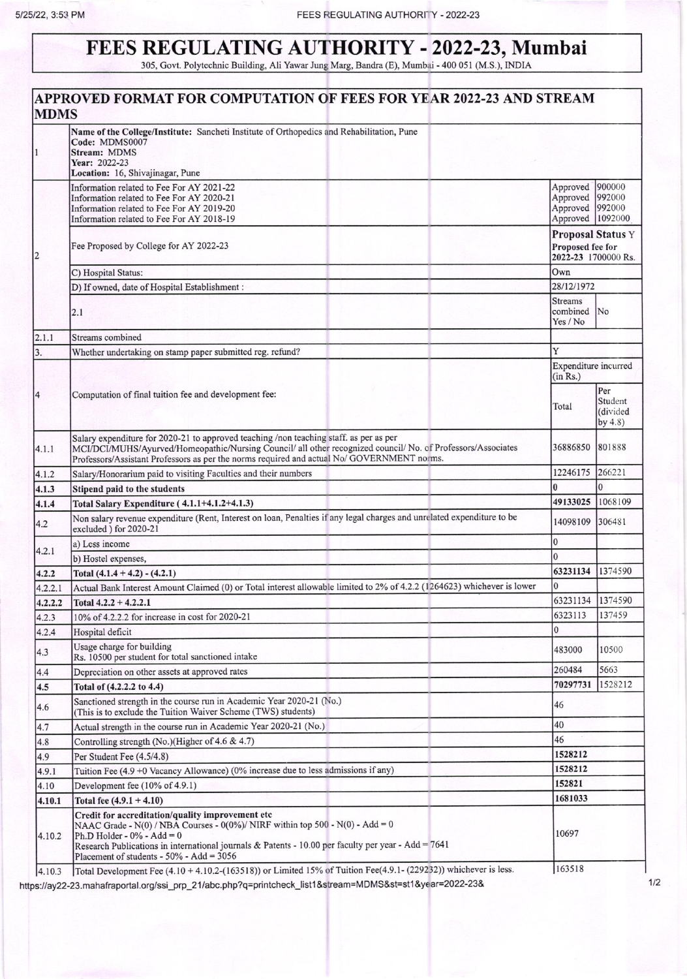## FEES REGULATING AUTHORITY - 2022-23, Mumbai 305, Govt. Polytechnic Building, Ali Yawar Jung Marg, Bandra (E), Mumbai - 400 051 (M.S.), INDIA

APPROVED FORMAT FOR COMPUTATION OF FEES FOR YEAR 2022-23 AND STREAM **MDMS** Name of the College/Institute: Sancheti Institute of Orthopedics and Rehabilitation, Pune Code: MDMS0007 Stream: MDMS Year: 2022-23 Location: 16, Shivajinagar, Pune Approved 900000 Information related to Fee For AY 2021-22 Approved 992000 Information related to Fee For AY 2020-21 992000 Information related to Fee For AY 2019-20 Approved Information related to Fee For AY 2018-19 Approved 1092000 **Proposal Status Y** Fee Proposed by College for AY 2022-23 Proposed fee for  $\overline{c}$ 2022-23 1700000 Rs. Own C) Hospital Status: 28/12/1972 D) If owned, date of Hospital Establishment : **Streams** combined **No**  $2.1$ Yes / No Streams combined  $2.1.1$ Whether undertaking on stamp paper submitted reg. refund? 3. Expenditure incurred  $(in Rs.)$ Per Computation of final tuition fee and development fee: Student Total (divided  $by 4.8$ Salary expenditure for 2020-21 to approved teaching /non teaching staff. as per as per MCI/DCI/MUHS/Ayurved/Homeopathic/Nursing Council/ all other recognized council/ No. of Professors/Associates 36886850 801888  $4.1.1$ Professors/Assistant Professors as per the norms required and actual No/ GOVERNMENT norms. 12246175 266221 Salary/Honorarium paid to visiting Faculties and their numbers  $4.1.2$  $\mathbf{0}$  $4.1.3$ Stipend paid to the students 49133025 Total Salary Expenditure (4.1.1+4.1.2+4.1.3) 1068109  $4.1.4$ Non salary revenue expenditure (Rent, Interest on loan, Penalties if any legal charges and unrelated expenditure to be 14098109 306481  $4.2$ excluded ) for 2020-21  $\bf{0}$ a) Less income  $4.2.1$  $\theta$ b) Hostel expenses, 63231134 1374590 Total  $(4.1.4 + 4.2) - (4.2.1)$  $4.2.2$ Actual Bank Interest Amount Claimed (0) or Total interest allowable limited to 2% of 4.2.2 (1264623) whichever is lower  $\overline{0}$  $4.2.2.1$ 63231134 1374590  $4.2.2.2$ Total  $4.2.2 + 4.2.2.1$ 6323113 137459 10% of 4.2.2.2 for increase in cost for 2020-21  $4.2.3$  $\bf{0}$  $4.2.4$ Hospital deficit Usage charge for building 483000 10500  $4.3$ Rs. 10500 per student for total sanctioned intake 260484 5663 Depreciation on other assets at approved rates  $4.4$ 1528212 70297731  $4.5$ Total of (4.2.2.2 to 4.4) Sanctioned strength in the course run in Academic Year 2020-21 (No.) 46 4.6 (This is to exclude the Tuition Waiver Scheme (TWS) students) 40  $4.7$ Actual strength in the course run in Academic Year 2020-21 (No.) 46 Controlling strength (No.)(Higher of 4.6 & 4.7) 4.8 1528212 4.9 Per Student Fee (4.5/4.8) 1528212 Tuition Fee (4.9 +0 Vacancy Allowance) (0% increase due to less admissions if any)  $4.9.1$ 152821 Development fee (10% of 4.9.1) 4.10 1681033 4.10.1 Total fee  $(4.9.1 + 4.10)$ Credit for accreditation/quality improvement etc NAAC Grade - N(0) / NBA Courses - 0(0%)/ NIRF within top 500 - N(0) - Add = 0 10697 4.10.2 Ph.D Holder -  $0\%$  - Add = 0 Research Publications in international journals & Patents - 10.00 per faculty per year - Add = 7641 Placement of students -  $50\%$  - Add =  $3056$ Total Development Fee (4.10 + 4.10.2-(163518)) or Limited 15% of Tuition Fee(4.9.1-(229232)) whichever is less. 163518 4.10.3

https://ay22-23.mahafraportal.org/ssi\_prp\_21/abc.php?q=printcheck\_list1&stream=MDMS&st=st1&year=2022-23&

 $1/2$